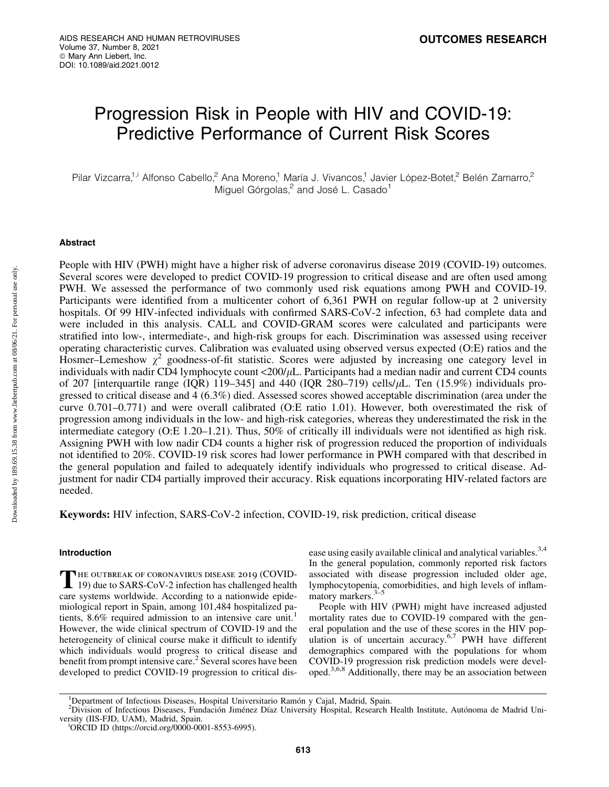# Progression Risk in People with HIV and COVID-19: Predictive Performance of Current Risk Scores

Pilar Vizcarra,<sup>1,i</sup> Alfonso Cabello,<sup>2</sup> Ana Moreno,<sup>1</sup> María J. Vivancos,<sup>1</sup> Javier López-Botet,<sup>2</sup> Belén Zamarro,<sup>2</sup> Miguel Górgolas,<sup>2</sup> and José L. Casado<sup>1</sup>

## Abstract

People with HIV (PWH) might have a higher risk of adverse coronavirus disease 2019 (COVID-19) outcomes. Several scores were developed to predict COVID-19 progression to critical disease and are often used among PWH. We assessed the performance of two commonly used risk equations among PWH and COVID-19. Participants were identified from a multicenter cohort of 6,361 PWH on regular follow-up at 2 university hospitals. Of 99 HIV-infected individuals with confirmed SARS-CoV-2 infection, 63 had complete data and were included in this analysis. CALL and COVID-GRAM scores were calculated and participants were stratified into low-, intermediate-, and high-risk groups for each. Discrimination was assessed using receiver operating characteristic curves. Calibration was evaluated using observed versus expected (O:E) ratios and the Hosmer–Lemeshow  $\chi^2$  goodness-of-fit statistic. Scores were adjusted by increasing one category level in individuals with nadir CD4 lymphocyte count <200/ $\mu$ L. Participants had a median nadir and current CD4 counts of 207 [interquartile range (IQR) 119–345] and 440 (IQR 280–719) cells/ $\mu$ L. Ten (15.9%) individuals progressed to critical disease and 4 (6.3%) died. Assessed scores showed acceptable discrimination (area under the curve 0.701–0.771) and were overall calibrated (O:E ratio 1.01). However, both overestimated the risk of progression among individuals in the low- and high-risk categories, whereas they underestimated the risk in the intermediate category (O:E 1.20–1.21). Thus, 50% of critically ill individuals were not identified as high risk. Assigning PWH with low nadir CD4 counts a higher risk of progression reduced the proportion of individuals not identified to 20%. COVID-19 risk scores had lower performance in PWH compared with that described in the general population and failed to adequately identify individuals who progressed to critical disease. Adjustment for nadir CD4 partially improved their accuracy. Risk equations incorporating HIV-related factors are needed.

Keywords: HIV infection, SARS-CoV-2 infection, COVID-19, risk prediction, critical disease

## Introduction

THE OUTBREAK OF CORONAVIRUS DISEASE 2019 (COVID-<br>19) due to SARS-CoV-2 infection has challenged health care systems worldwide. According to a nationwide epidemiological report in Spain, among 101,484 hospitalized patients,  $8.6\%$  required admission to an intensive care unit.<sup>1</sup> However, the wide clinical spectrum of COVID-19 and the heterogeneity of clinical course make it difficult to identify which individuals would progress to critical disease and benefit from prompt intensive care.<sup>2</sup> Several scores have been developed to predict COVID-19 progression to critical disease using easily available clinical and analytical variables.<sup>3,4</sup> In the general population, commonly reported risk factors associated with disease progression included older age, lymphocytopenia, comorbidities, and high levels of inflammatory markers.<sup>3</sup>

People with HIV (PWH) might have increased adjusted mortality rates due to COVID-19 compared with the general population and the use of these scores in the HIV population is of uncertain accuracy.<sup>6,7</sup> PWH have different demographics compared with the populations for whom COVID-19 progression risk prediction models were developed.3,6,8 Additionally, there may be an association between

Downloaded by 189.69.15.38 from www.liebertpub.com at 08/06/21. For personal use only. Downloaded by 189.69.15.38 from www.liebertpub.com at 08/06/21. For personal use only

<sup>&</sup>lt;sup>1</sup>Department of Infectious Diseases, Hospital Universitario Ramón y Cajal, Madrid, Spain.<br><sup>2</sup>Division of Infectious Diseases, Eundación Jimánez Díaz University Hospital, Research I

<sup>&</sup>lt;sup>2</sup>Division of Infectious Diseases, Fundación Jiménez Díaz University Hospital, Research Health Institute, Autónoma de Madrid University (IIS-FJD, UAM), Madrid, Spain.

ORCID ID (https://orcid.org/0000-0001-8553-6995).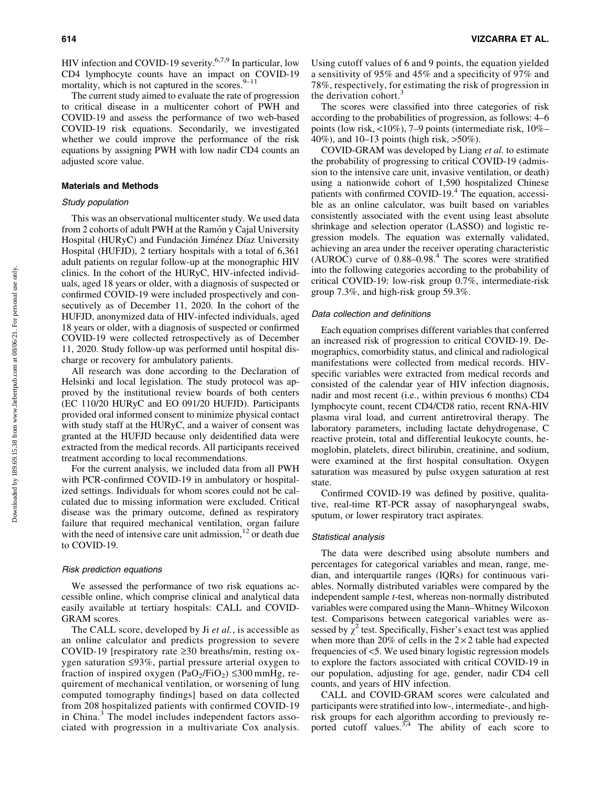HIV infection and COVID-19 severity.<sup>6,7,9</sup> In particular, low CD4 lymphocyte counts have an impact on COVID-19 mortality, which is not captured in the scores. $9-11$ 

The current study aimed to evaluate the rate of progression to critical disease in a multicenter cohort of PWH and COVID-19 and assess the performance of two web-based COVID-19 risk equations. Secondarily, we investigated whether we could improve the performance of the risk equations by assigning PWH with low nadir CD4 counts an adjusted score value.

## Materials and Methods

## Study population

This was an observational multicenter study. We used data from 2 cohorts of adult PWH at the Ramón y Cajal University Hospital (HURyC) and Fundación Jiménez Díaz University Hospital (HUFJD), 2 tertiary hospitals with a total of 6,361 adult patients on regular follow-up at the monographic HIV clinics. In the cohort of the HURyC, HIV-infected individuals, aged 18 years or older, with a diagnosis of suspected or confirmed COVID-19 were included prospectively and consecutively as of December 11, 2020. In the cohort of the HUFJD, anonymized data of HIV-infected individuals, aged 18 years or older, with a diagnosis of suspected or confirmed COVID-19 were collected retrospectively as of December 11, 2020. Study follow-up was performed until hospital discharge or recovery for ambulatory patients.

All research was done according to the Declaration of Helsinki and local legislation. The study protocol was approved by the institutional review boards of both centers (EC 110/20 HURyC and EO 091/20 HUFJD). Participants provided oral informed consent to minimize physical contact with study staff at the HURyC, and a waiver of consent was granted at the HUFJD because only deidentified data were extracted from the medical records. All participants received treatment according to local recommendations.

For the current analysis, we included data from all PWH with PCR-confirmed COVID-19 in ambulatory or hospitalized settings. Individuals for whom scores could not be calculated due to missing information were excluded. Critical disease was the primary outcome, defined as respiratory failure that required mechanical ventilation, organ failure with the need of intensive care unit admission,  $12$  or death due to COVID-19.

#### Risk prediction equations

We assessed the performance of two risk equations accessible online, which comprise clinical and analytical data easily available at tertiary hospitals: CALL and COVID-GRAM scores.

The CALL score, developed by Ji *et al.*, is accessible as an online calculator and predicts progression to severe COVID-19 [respiratory rate  $\geq$ 30 breaths/min, resting oxygen saturation  $\leq 93\%$ , partial pressure arterial oxygen to fraction of inspired oxygen  $(PaO_2/FiO_2) \leq 300$  mmHg, requirement of mechanical ventilation, or worsening of lung computed tomography findings] based on data collected from 208 hospitalized patients with confirmed COVID-19 in China.<sup>3</sup> The model includes independent factors associated with progression in a multivariate Cox analysis. Using cutoff values of 6 and 9 points, the equation yielded a sensitivity of 95% and 45% and a specificity of 97% and 78%, respectively, for estimating the risk of progression in the derivation cohort. $3$ 

The scores were classified into three categories of risk according to the probabilities of progression, as follows: 4–6 points (low risk, <10%), 7–9 points (intermediate risk, 10%– 40%), and 10–13 points (high risk, >50%).

COVID-GRAM was developed by Liang *et al.* to estimate the probability of progressing to critical COVID-19 (admission to the intensive care unit, invasive ventilation, or death) using a nationwide cohort of 1,590 hospitalized Chinese patients with confirmed COVID-19. $4$  The equation, accessible as an online calculator, was built based on variables consistently associated with the event using least absolute shrinkage and selection operator (LASSO) and logistic regression models. The equation was externally validated, achieving an area under the receiver operating characteristic  $(AUROC)$  curve of  $0.88-0.98<sup>4</sup>$ . The scores were stratified into the following categories according to the probability of critical COVID-19: low-risk group 0.7%, intermediate-risk group 7.3%, and high-risk group 59.3%.

#### Data collection and definitions

Each equation comprises different variables that conferred an increased risk of progression to critical COVID-19. Demographics, comorbidity status, and clinical and radiological manifestations were collected from medical records. HIVspecific variables were extracted from medical records and consisted of the calendar year of HIV infection diagnosis, nadir and most recent (i.e., within previous 6 months) CD4 lymphocyte count, recent CD4/CD8 ratio, recent RNA-HIV plasma viral load, and current antiretroviral therapy. The laboratory parameters, including lactate dehydrogenase, C reactive protein, total and differential leukocyte counts, hemoglobin, platelets, direct bilirubin, creatinine, and sodium, were examined at the first hospital consultation. Oxygen saturation was measured by pulse oxygen saturation at rest state.

Confirmed COVID-19 was defined by positive, qualitative, real-time RT-PCR assay of nasopharyngeal swabs, sputum, or lower respiratory tract aspirates.

#### Statistical analysis

The data were described using absolute numbers and percentages for categorical variables and mean, range, median, and interquartile ranges (IQRs) for continuous variables. Normally distributed variables were compared by the independent sample *t*-test, whereas non-normally distributed variables were compared using the Mann–Whitney Wilcoxon test. Comparisons between categorical variables were assessed by  $\chi^2$  test. Specifically, Fisher's exact test was applied when more than 20% of cells in the  $2 \times 2$  table had expected frequencies of <5. We used binary logistic regression models to explore the factors associated with critical COVID-19 in our population, adjusting for age, gender, nadir CD4 cell counts, and years of HIV infection.

CALL and COVID-GRAM scores were calculated and participants were stratified into low-, intermediate-, and highrisk groups for each algorithm according to previously reported cutoff values. $3,4$  The ability of each score to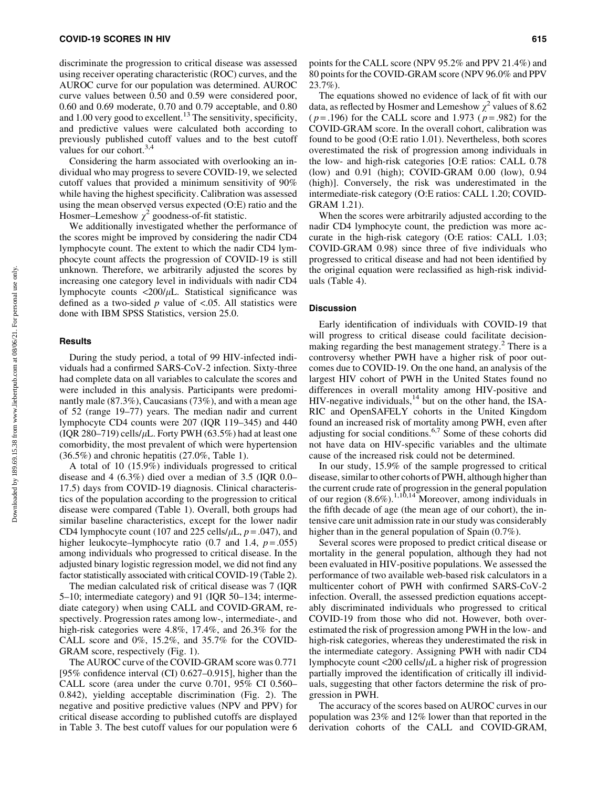discriminate the progression to critical disease was assessed using receiver operating characteristic (ROC) curves, and the AUROC curve for our population was determined. AUROC curve values between 0.50 and 0.59 were considered poor, 0.60 and 0.69 moderate, 0.70 and 0.79 acceptable, and 0.80 and  $1.00$  very good to excellent.<sup>13</sup> The sensitivity, specificity, and predictive values were calculated both according to previously published cutoff values and to the best cutoff values for our cohort. $3,4$ 

Considering the harm associated with overlooking an individual who may progress to severe COVID-19, we selected cutoff values that provided a minimum sensitivity of 90% while having the highest specificity. Calibration was assessed using the mean observed versus expected (O:E) ratio and the Hosmer–Lemeshow  $\chi^2$  goodness-of-fit statistic.

We additionally investigated whether the performance of the scores might be improved by considering the nadir CD4 lymphocyte count. The extent to which the nadir CD4 lymphocyte count affects the progression of COVID-19 is still unknown. Therefore, we arbitrarily adjusted the scores by increasing one category level in individuals with nadir CD4 lymphocyte counts  $\langle 200/\mu L$ . Statistical significance was defined as a two-sided *p* value of <.05. All statistics were done with IBM SPSS Statistics, version 25.0.

#### **Results**

During the study period, a total of 99 HIV-infected individuals had a confirmed SARS-CoV-2 infection. Sixty-three had complete data on all variables to calculate the scores and were included in this analysis. Participants were predominantly male (87.3%), Caucasians (73%), and with a mean age of 52 (range 19–77) years. The median nadir and current lymphocyte CD4 counts were 207 (IQR 119–345) and 440 (IQR 280–719) cells/ $\mu$ L. Forty PWH (63.5%) had at least one comorbidity, the most prevalent of which were hypertension (36.5%) and chronic hepatitis (27.0%, Table 1).

A total of 10 (15.9%) individuals progressed to critical disease and 4 (6.3%) died over a median of 3.5 (IQR 0.0– 17.5) days from COVID-19 diagnosis. Clinical characteristics of the population according to the progression to critical disease were compared (Table 1). Overall, both groups had similar baseline characteristics, except for the lower nadir CD4 lymphocyte count (107 and 225 cells/ $\mu$ L,  $p = .047$ ), and higher leukocyte–lymphocyte ratio  $(0.7 \text{ and } 1.4, p = .055)$ among individuals who progressed to critical disease. In the adjusted binary logistic regression model, we did not find any factor statistically associated with critical COVID-19 (Table 2).

The median calculated risk of critical disease was 7 (IQR 5–10; intermediate category) and 91 (IQR 50–134; intermediate category) when using CALL and COVID-GRAM, respectively. Progression rates among low-, intermediate-, and high-risk categories were 4.8%, 17.4%, and 26.3% for the CALL score and 0%, 15.2%, and 35.7% for the COVID-GRAM score, respectively (Fig. 1).

The AUROC curve of the COVID-GRAM score was 0.771 [95% confidence interval (CI) 0.627–0.915], higher than the CALL score (area under the curve 0.701, 95% CI 0.560– 0.842), yielding acceptable discrimination (Fig. 2). The negative and positive predictive values (NPV and PPV) for critical disease according to published cutoffs are displayed in Table 3. The best cutoff values for our population were 6

points for the CALL score (NPV 95.2% and PPV 21.4%) and 80 points for the COVID-GRAM score (NPV 96.0% and PPV 23.7%).

The equations showed no evidence of lack of fit with our data, as reflected by Hosmer and Lemeshow  $\chi^2$  values of 8.62 ( *p* = .196) for the CALL score and 1.973 ( *p* = .982) for the COVID-GRAM score. In the overall cohort, calibration was found to be good (O:E ratio 1.01). Nevertheless, both scores overestimated the risk of progression among individuals in the low- and high-risk categories [O:E ratios: CALL 0.78 (low) and 0.91 (high); COVID-GRAM 0.00 (low), 0.94 (high)]. Conversely, the risk was underestimated in the intermediate-risk category (O:E ratios: CALL 1.20; COVID-GRAM 1.21).

When the scores were arbitrarily adjusted according to the nadir CD4 lymphocyte count, the prediction was more accurate in the high-risk category (O:E ratios: CALL 1.03; COVID-GRAM 0.98) since three of five individuals who progressed to critical disease and had not been identified by the original equation were reclassified as high-risk individuals (Table 4).

#### Discussion

Early identification of individuals with COVID-19 that will progress to critical disease could facilitate decisionmaking regarding the best management strategy.<sup>2</sup> There is a controversy whether PWH have a higher risk of poor outcomes due to COVID-19. On the one hand, an analysis of the largest HIV cohort of PWH in the United States found no differences in overall mortality among HIV-positive and HIV-negative individuals, $^{14}$  but on the other hand, the ISA-RIC and OpenSAFELY cohorts in the United Kingdom found an increased risk of mortality among PWH, even after adjusting for social conditions.6,7 Some of these cohorts did not have data on HIV-specific variables and the ultimate cause of the increased risk could not be determined.

In our study, 15.9% of the sample progressed to critical disease, similar to other cohorts of PWH, although higher than the current crude rate of progression in the general population of our region  $(8.6\%)$ .<sup>1,10,14</sup> Moreover, among individuals in the fifth decade of age (the mean age of our cohort), the intensive care unit admission rate in our study was considerably higher than in the general population of Spain (0.7%).

Several scores were proposed to predict critical disease or mortality in the general population, although they had not been evaluated in HIV-positive populations. We assessed the performance of two available web-based risk calculators in a multicenter cohort of PWH with confirmed SARS-CoV-2 infection. Overall, the assessed prediction equations acceptably discriminated individuals who progressed to critical COVID-19 from those who did not. However, both overestimated the risk of progression among PWH in the low- and high-risk categories, whereas they underestimated the risk in the intermediate category. Assigning PWH with nadir CD4 lymphocyte count  $\langle 200 \text{ cells} / \mu \text{L}$  a higher risk of progression partially improved the identification of critically ill individuals, suggesting that other factors determine the risk of progression in PWH.

The accuracy of the scores based on AUROC curves in our population was 23% and 12% lower than that reported in the derivation cohorts of the CALL and COVID-GRAM,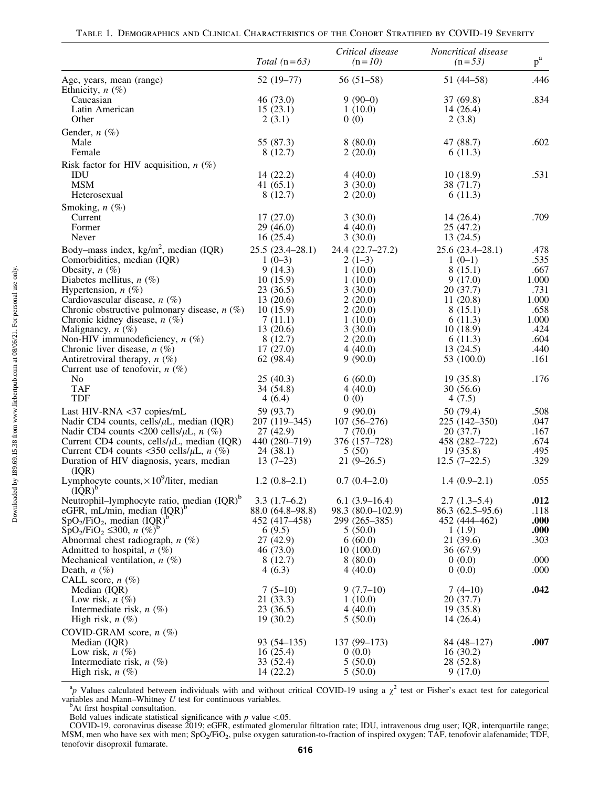|                                                                                | Total $(n=63)$              | Critical disease<br>$(n=10)$ | Noncritical disease<br>$(n=53)$ | $p^a$        |
|--------------------------------------------------------------------------------|-----------------------------|------------------------------|---------------------------------|--------------|
| Age, years, mean (range)<br>Ethnicity, $n$ $(\%)$                              | $52(19-77)$                 | $56(51-58)$                  | $51(44 - 58)$                   | .446         |
| Caucasian                                                                      | 46 (73.0)                   | $9(90-0)$                    | 37 (69.8)                       | .834         |
| Latin American                                                                 | 15(23.1)                    | 1(10.0)                      | 14(26.4)                        |              |
| Other                                                                          | 2(3.1)                      | 0(0)                         | 2(3.8)                          |              |
| Gender, $n$ (%)<br>Male                                                        | 55 (87.3)                   | 8(80.0)                      | 47 (88.7)                       | .602         |
| Female                                                                         | 8(12.7)                     | 2(20.0)                      | 6(11.3)                         |              |
| Risk factor for HIV acquisition, $n$ (%)<br>IDU                                | 14(22.2)                    | 4(40.0)                      | 10(18.9)                        | .531         |
| <b>MSM</b>                                                                     | 41 $(65.1)$                 | 3(30.0)                      | 38 (71.7)                       |              |
| Heterosexual                                                                   | 8(12.7)                     | 2(20.0)                      | 6(11.3)                         |              |
| Smoking, $n$ (%)                                                               |                             |                              |                                 |              |
| Current                                                                        | 17(27.0)                    | 3(30.0)                      | 14(26.4)                        | .709         |
| Former                                                                         | 29(46.0)                    | 4(40.0)                      | 25(47.2)                        |              |
| Never                                                                          | 16(25.4)                    | 3(30.0)                      | 13(24.5)                        |              |
| Body–mass index, $\text{kg/m}^2$ , median (IQR)<br>Comorbidities, median (IQR) | 25.5(23.4–28.1)<br>$1(0-3)$ | 24.4 (22.7-27.2)<br>$2(1-3)$ | $25.6(23.4 - 28.1)$<br>$1(0-1)$ | .478<br>.535 |
| Obesity, $n$ (%)                                                               | 9(14.3)                     | 1(10.0)                      | 8(15.1)                         | .667         |
| Diabetes mellitus, $n$ (%)                                                     | 10(15.9)                    | 1(10.0)                      | 9(17.0)                         | 1.000        |
| Hypertension, $n$ (%)                                                          | 23 (36.5)                   | 3(30.0)                      | 20(37.7)                        | .731         |
| Cardiovascular disease, $n$ (%)                                                | 13(20.6)                    | 2(20.0)                      | 11(20.8)                        | 1.000        |
| Chronic obstructive pulmonary disease, $n$ (%)                                 | 10(15.9)                    | 2(20.0)                      | 8(15.1)                         | .658         |
| Chronic kidney disease, $n$ (%)                                                | 7(11.1)                     | 1(10.0)                      | 6(11.3)                         | 1.000        |
| Malignancy, $n$ $(\%)$                                                         | 13(20.6)                    | 3(30.0)                      | 10(18.9)                        | .424         |
| Non-HIV immunodeficiency, $n$ (%)                                              | 8(12.7)                     | 2(20.0)                      | 6(11.3)                         | .604         |
| Chronic liver disease, $n$ (%)                                                 | 17(27.0)                    | 4(40.0)                      | 13(24.5)                        | .440         |
| Antiretroviral therapy, $n$ (%)                                                | 62 (98.4)                   | 9(90.0)                      | 53 (100.0)                      | .161         |
| Current use of tenofovir, $n$ (%)                                              |                             |                              |                                 |              |
| No                                                                             | 25(40.3)                    | 6(60.0)                      | 19(35.8)                        | .176         |
| <b>TAF</b>                                                                     | 34 (54.8)                   | 4(40.0)                      | 30(56.6)                        |              |
| <b>TDF</b>                                                                     | 4(6.4)                      | 0(0)                         | 4(7.5)                          |              |
| Last HIV-RNA <37 copies/mL                                                     | 59 (93.7)                   | 9(90.0)                      | 50 (79.4)                       | .508         |
| Nadir CD4 counts, cells/ $\mu$ L, median (IQR)                                 | 207 (119–345)               | $107(56-276)$                | 225 (142–350)                   | .047         |
| Nadir CD4 counts <200 cells/ $\mu$ L, $n$ (%)                                  | 27(42.9)                    | 7(70.0)                      | 20(37.7)                        | .167         |
| Current CD4 counts, cells/ $\mu$ L, median (IQR)                               | 440 (280-719)               | 376 (157-728)                | 458 (282–722)                   | .674         |
| Current CD4 counts <350 cells/ $\mu$ L, $n$ (%)                                | 24(38.1)                    | 5(50)                        | 19(35.8)                        | .495         |
| Duration of HIV diagnosis, years, median<br>(IOR)                              | $13(7-23)$                  | $21(9-26.5)$                 | $12.5(7-22.5)$                  | .329         |
| Lymphocyte counts, $\times 10^9$ /liter, median<br>$(\text{IQR})^{\text{b}}$   | $1.2(0.8-2.1)$              | $0.7(0.4-2.0)$               | $1.4(0.9-2.1)$                  | .055         |
| Neutrophil-lymphocyte ratio, median (IQR) <sup>b</sup>                         | $3.3(1.7-6.2)$              | $6.1(3.9-16.4)$              | $2.7(1.3-5.4)$                  | .012         |
| eGFR, mL/min, median $(IQR)^b$                                                 | 88.0 (64.8–98.8)            | 98.3 (80.0-102.9)            | $86.3(62.5-95.6)$               | .118         |
| $SpO2/FiO2$ , median $(IQR)b$                                                  | 452 (417-458)               | 299 (265-385)                | 452 (444-462)                   | .000         |
| $SpO_2/FiO_2 \leq 300$ , n $(\%)^b$                                            | 6(9.5)                      | 5(50.0)                      | 1(1.9)                          | .000         |
| Abnormal chest radiograph, $n$ (%)                                             | 27 (42.9)                   | 6(60.0)                      | 21 (39.6)                       | .303         |
| Admitted to hospital, $n$ (%)                                                  | 46 (73.0)                   | 10(100.0)                    | 36(67.9)                        |              |
| Mechanical ventilation, $n$ (%)                                                | 8(12.7)                     | 8(80.0)                      | 0(0.0)                          | .000         |
| Death, $n(\%)$                                                                 | 4(6.3)                      | 4(40.0)                      | 0(0.0)                          | .000         |
| CALL score, $n$ (%)                                                            |                             |                              |                                 |              |
| Median (IQR)                                                                   | $7(5-10)$                   | $9(7.7-10)$                  | $7(4-10)$                       | .042         |
| Low risk, $n(\%)$                                                              | 21 (33.3)                   | 1(10.0)                      | 20(37.7)                        |              |
| Intermediate risk, $n$ $(\%)$                                                  | 23(36.5)                    | 4(40.0)                      | 19(35.8)                        |              |
| High risk, $n$ $(\%)$                                                          | 19 (30.2)                   | 5(50.0)                      | 14(26.4)                        |              |
| COVID-GRAM score, $n$ (%)                                                      |                             |                              |                                 |              |
| Median (IQR)                                                                   | $93(54 - 135)$              | $137(99-173)$                | 84 (48-127)                     | .007         |
| Low risk, $n(\%)$                                                              | 16(25.4)                    | 0(0.0)                       | 16(30.2)                        |              |
| Intermediate risk, $n$ (%)                                                     | 33 (52.4)                   | 5(50.0)                      | 28 (52.8)                       |              |
| High risk, $n(\%)$                                                             | 14 (22.2)                   | 5(50.0)                      | 9(17.0)                         |              |

<sup>a</sup>p Values calculated between individuals with and without critical COVID-19 using a  $\chi^2$  test or Fisher's exact test for categorical variables and Mann–Whitney  $U$  test for continuous variables.<br><sup>b</sup>At first hospital consultation.

Bold values indicate statistical significance with  $p$  value <.05.

COVID-19, coronavirus disease 2019; eGFR, estimated glomerular filtration rate; IDU, intravenous drug user; IQR, interquartile range; MSM, men who have sex with men; SpO<sub>2</sub>/FiO<sub>2</sub>, pulse oxygen saturation-to-fraction of inspired oxygen; TAF, tenofovir alafenamide; TDF, tenofovir disoproxil fumarate. <sup>616</sup>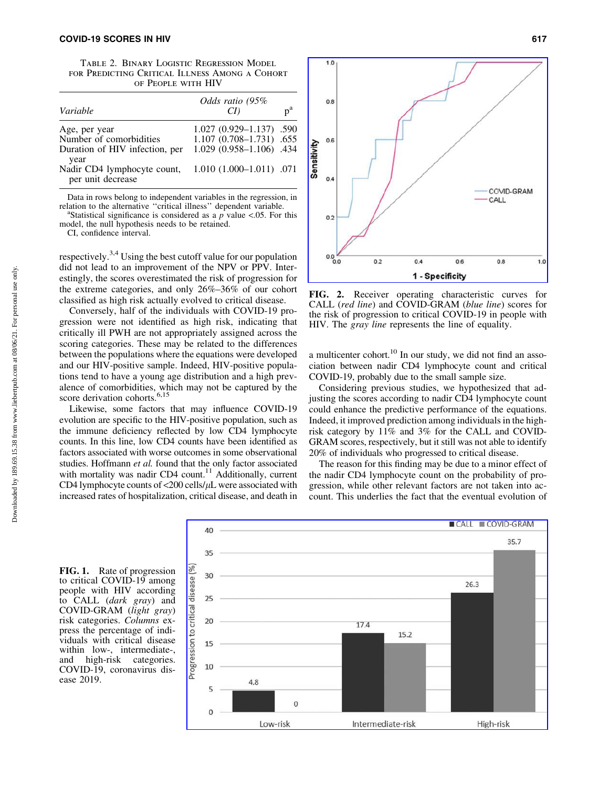Table 2. Binary Logistic Regression Model for Predicting Critical Illness Among a Cohort of People with HIV

| Variable                                                                   | Odds ratio (95%                                                                              | n <sup>a</sup> |
|----------------------------------------------------------------------------|----------------------------------------------------------------------------------------------|----------------|
| Age, per year<br>Number of comorbidities<br>Duration of HIV infection, per | $1.027(0.929 - 1.137)$ .590<br>$1.107$ $(0.708 - 1.731)$ .655<br>$1.029(0.958 - 1.106)$ .434 |                |
| year<br>Nadir CD4 lymphocyte count,<br>per unit decrease                   | $1.010(1.000-1.011)$ .071                                                                    |                |

Data in rows belong to independent variables in the regression, in relation to the alternative "critical illness" dependent variable.

Statistical significance is considered as a *p* value <.05. For this model, the null hypothesis needs to be retained.

CI, confidence interval.

respectively.3,4 Using the best cutoff value for our population did not lead to an improvement of the NPV or PPV. Interestingly, the scores overestimated the risk of progression for the extreme categories, and only 26%–36% of our cohort classified as high risk actually evolved to critical disease.

Conversely, half of the individuals with COVID-19 progression were not identified as high risk, indicating that critically ill PWH are not appropriately assigned across the scoring categories. These may be related to the differences between the populations where the equations were developed and our HIV-positive sample. Indeed, HIV-positive populations tend to have a young age distribution and a high prevalence of comorbidities, which may not be captured by the score derivation cohorts.<sup>6,15</sup>

Likewise, some factors that may influence COVID-19 evolution are specific to the HIV-positive population, such as the immune deficiency reflected by low CD4 lymphocyte counts. In this line, low CD4 counts have been identified as factors associated with worse outcomes in some observational studies. Hoffmann *et al.* found that the only factor associated with mortality was nadir CD4 count.<sup>11</sup> Additionally, current CD4 lymphocyte counts of  $\langle 200 \text{ cells/}\mu\text{L}$  were associated with increased rates of hospitalization, critical disease, and death in



FIG. 2. Receiver operating characteristic curves for CALL (*red line*) and COVID-GRAM (*blue line*) scores for the risk of progression to critical COVID-19 in people with HIV. The *gray line* represents the line of equality.

a multicenter cohort.<sup>10</sup> In our study, we did not find an association between nadir CD4 lymphocyte count and critical COVID-19, probably due to the small sample size.

Considering previous studies, we hypothesized that adjusting the scores according to nadir CD4 lymphocyte count could enhance the predictive performance of the equations. Indeed, it improved prediction among individuals in the highrisk category by 11% and 3% for the CALL and COVID-GRAM scores, respectively, but it still was not able to identify 20% of individuals who progressed to critical disease.

The reason for this finding may be due to a minor effect of the nadir CD4 lymphocyte count on the probability of progression, while other relevant factors are not taken into account. This underlies the fact that the eventual evolution of



FIG. 1. Rate of progression to critical COVID-19 among people with HIV according to CALL (*dark gray*) and COVID-GRAM (*light gray*) risk categories. *Columns* express the percentage of individuals with critical disease within low-, intermediate-, and high-risk categories. COVID-19, coronavirus disease 2019.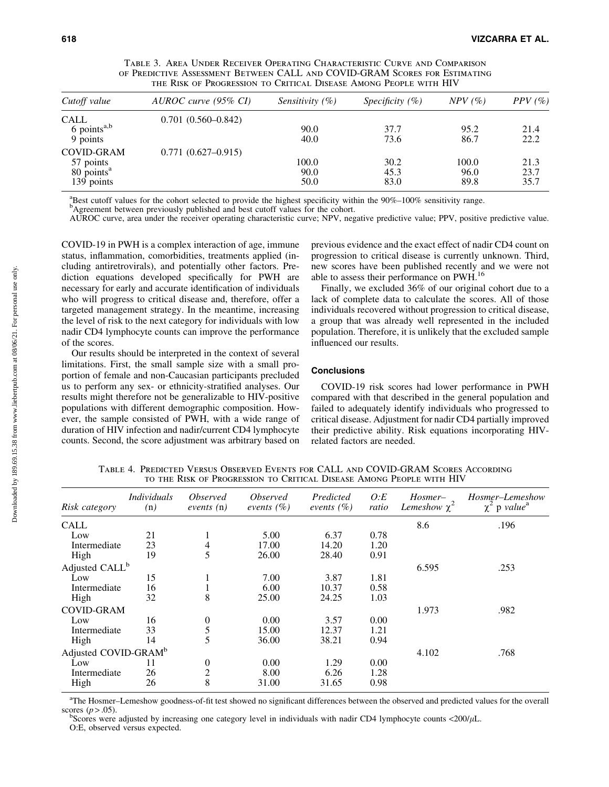| TABLE 3. AREA UNDER RECEIVER OPERATING CHARACTERISTIC CURVE AND COMPARISON |
|----------------------------------------------------------------------------|
| of Predictive Assessment Between CALL and COVID-GRAM Scores for Estimating |
| THE RISK OF PROGRESSION TO CRITICAL DISEASE AMONG PEOPLE WITH HIV          |

| Cutoff value              | AUROC curve (95% CI)   | <i>Sensitivity</i> $(\%)$ | Specificity $(\% )$ | $NPV$ (%) | $PPV$ (%) |
|---------------------------|------------------------|---------------------------|---------------------|-----------|-----------|
| CALL                      | $0.701(0.560 - 0.842)$ |                           |                     |           |           |
| $6$ points <sup>a,b</sup> |                        | 90.0                      | 37.7                | 95.2      | 21.4      |
| 9 points                  |                        | 40.0                      | 73.6                | 86.7      | 22.2      |
| <b>COVID-GRAM</b>         | $0.771(0.627 - 0.915)$ |                           |                     |           |           |
| 57 points                 |                        | 100.0                     | 30.2                | 100.0     | 21.3      |
| 80 points <sup>a</sup>    |                        | 90.0                      | 45.3                | 96.0      | 23.7      |
| 139 points                |                        | 50.0                      | 83.0                | 89.8      | 35.7      |

<sup>a</sup>Best cutoff values for the cohort selected to provide the highest specificity within the 90%–100% sensitivity range.<br><sup>b</sup>Agreement between previously published and best cutoff values for the cohort.

AUROC curve, area under the receiver operating characteristic curve; NPV, negative predictive value; PPV, positive predictive value.

COVID-19 in PWH is a complex interaction of age, immune status, inflammation, comorbidities, treatments applied (including antiretrovirals), and potentially other factors. Prediction equations developed specifically for PWH are necessary for early and accurate identification of individuals who will progress to critical disease and, therefore, offer a targeted management strategy. In the meantime, increasing the level of risk to the next category for individuals with low nadir CD4 lymphocyte counts can improve the performance of the scores.

Our results should be interpreted in the context of several limitations. First, the small sample size with a small proportion of female and non-Caucasian participants precluded us to perform any sex- or ethnicity-stratified analyses. Our results might therefore not be generalizable to HIV-positive populations with different demographic composition. However, the sample consisted of PWH, with a wide range of duration of HIV infection and nadir/current CD4 lymphocyte counts. Second, the score adjustment was arbitrary based on previous evidence and the exact effect of nadir CD4 count on progression to critical disease is currently unknown. Third, new scores have been published recently and we were not able to assess their performance on PWH.<sup>16</sup>

Finally, we excluded 36% of our original cohort due to a lack of complete data to calculate the scores. All of those individuals recovered without progression to critical disease, a group that was already well represented in the included population. Therefore, it is unlikely that the excluded sample influenced our results.

## **Conclusions**

COVID-19 risk scores had lower performance in PWH compared with that described in the general population and failed to adequately identify individuals who progressed to critical disease. Adjustment for nadir CD4 partially improved their predictive ability. Risk equations incorporating HIVrelated factors are needed.

| Risk category                    | <i>Individuals</i><br>(n) | <i>Observed</i><br>events (n)        | <i><b>Observed</b></i><br>events $(\% )$ | Predicted<br>events $(\% )$ | O: E<br>ratio | Hosmer-<br>Lemeshow $\chi^2$ | Hosmer–Lemeshow<br>$\chi^2$ p value <sup>a</sup> |
|----------------------------------|---------------------------|--------------------------------------|------------------------------------------|-----------------------------|---------------|------------------------------|--------------------------------------------------|
| CALL                             |                           |                                      |                                          |                             |               | 8.6                          | .196                                             |
| Low                              | 21                        | л.                                   | 5.00                                     | 6.37                        | 0.78          |                              |                                                  |
| Intermediate                     | 23                        | $\overline{\mathcal{A}}$             | 17.00                                    | 14.20                       | 1.20          |                              |                                                  |
| High                             | 19                        | 5                                    | 26.00                                    | 28.40                       | 0.91          |                              |                                                  |
| Adjusted CALL <sup>b</sup>       |                           |                                      |                                          |                             |               | 6.595                        | .253                                             |
| Low                              | 15                        |                                      | 7.00                                     | 3.87                        | 1.81          |                              |                                                  |
| Intermediate                     | 16                        |                                      | 6.00                                     | 10.37                       | 0.58          |                              |                                                  |
| High                             | 32                        | 8                                    | 25.00                                    | 24.25                       | 1.03          |                              |                                                  |
| <b>COVID-GRAM</b>                |                           |                                      |                                          |                             |               | 1.973                        | .982                                             |
| Low                              | 16                        |                                      | 0.00                                     | 3.57                        | 0.00          |                              |                                                  |
| Intermediate                     | 33                        | $\begin{matrix} 0 \\ 5 \end{matrix}$ | 15.00                                    | 12.37                       | 1.21          |                              |                                                  |
| High                             | 14                        | 5                                    | 36.00                                    | 38.21                       | 0.94          |                              |                                                  |
| Adjusted COVID-GRAM <sup>b</sup> |                           |                                      |                                          |                             |               | 4.102                        | .768                                             |
| Low                              | 11                        | $\boldsymbol{0}$                     | 0.00                                     | 1.29                        | 0.00          |                              |                                                  |
| Intermediate                     | 26                        | $\overline{c}$                       | 8.00                                     | 6.26                        | 1.28          |                              |                                                  |
| High                             | 26                        | 8                                    | 31.00                                    | 31.65                       | 0.98          |                              |                                                  |

Table 4. Predicted Versus Observed Events for CALL and COVID-GRAM Scores According to the Risk of Progression to Critical Disease Among People with HIV

<sup>a</sup>The Hosmer–Lemeshow goodness-of-fit test showed no significant differences between the observed and predicted values for the overall scores  $(p > .05)$ .

Scores were adjusted by increasing one category level in individuals with nadir CD4 lymphocyte counts <200/ $\mu$ L. O:E, observed versus expected.